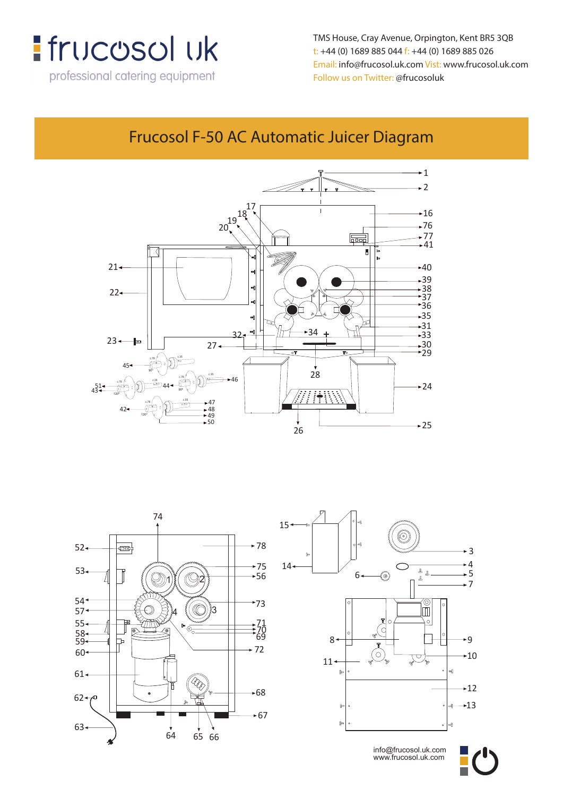

TMS House, Cray Avenue, Orpington, Kent BR5 3QB t: +44 (0) 1689 885 044 f: +44 (0) 1689 885 026 Email: info@frucosol.uk.com Vist: www.frucosol.uk.com **t: +44 (0) 1689 885 044 f: +44 (0) 1689 885 026** Follow us on Twitter: @frucosoluk

#### Frucosol F-50 AC Automatic Juicer Diagram **Frucosol F-50AC Automatic Juicer Diagram**







info@frucosol.uk.com www.frucosol.uk.com info@frucosol.uk.com www.frucosol.uk.com

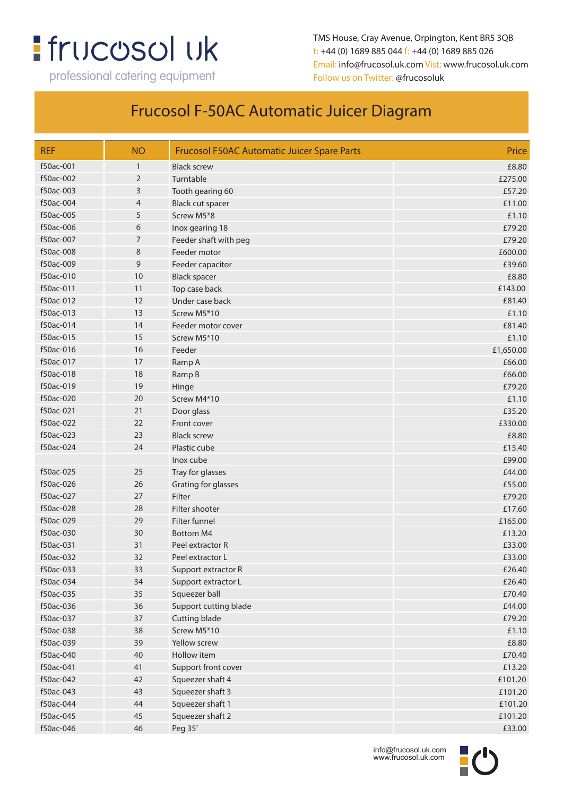# **:** frucosol uk

professional catering equipment

TMS House, Cray Avenue, Orpington, Kent BR5 3QB t: +44 (0) 1689 885 044 f: +44 (0) 1689 885 026 Email: info@frucosol.uk.com Vist: www.frucosol.uk.com Follow us on Twitter: @frucosoluk

#### Frucosol F-50AC Automatic Juicer Diagram

| <b>REF</b> | <b>NO</b>    | <b>Frucosol F50AC Automatic Juicer Spare Parts</b> | Price     |
|------------|--------------|----------------------------------------------------|-----------|
| f50ac-001  | $\mathbf{1}$ | <b>Black screw</b>                                 | £8.80     |
| f50ac-002  | 2            | Turntable                                          | £275.00   |
| f50ac-003  | 3            | Tooth gearing 60                                   | £57.20    |
| f50ac-004  | 4            | Black cut spacer                                   | £11.00    |
| f50ac-005  | 5            | Screw M5*8                                         | £1.10     |
| f50ac-006  | 6            | Inox gearing 18                                    | £79.20    |
| f50ac-007  | 7            | Feeder shaft with peg                              | £79.20    |
| f50ac-008  | 8            | Feeder motor                                       | £600.00   |
| f50ac-009  | 9            | Feeder capacitor                                   | £39.60    |
| f50ac-010  | 10           | <b>Black spacer</b>                                | £8.80     |
| f50ac-011  | 11           | Top case back                                      | £143.00   |
| f50ac-012  | 12           | Under case back                                    | £81.40    |
| f50ac-013  | 13           | Screw M5*10                                        | £1.10     |
| f50ac-014  | 14           | Feeder motor cover                                 | £81.40    |
| f50ac-015  | 15           | Screw M5*10                                        | £1.10     |
| f50ac-016  | 16           | Feeder                                             | £1,650.00 |
| f50ac-017  | 17           | Ramp A                                             | £66.00    |
| f50ac-018  | 18           | Ramp B                                             | £66.00    |
| f50ac-019  | 19           | Hinge                                              | £79.20    |
| f50ac-020  | 20           | Screw M4*10                                        | £1.10     |
| f50ac-021  | 21           | Door glass                                         | £35.20    |
| f50ac-022  | 22           | Front cover                                        | £330.00   |
| f50ac-023  | 23           | <b>Black screw</b>                                 | £8.80     |
| f50ac-024  | 24           | Plastic cube                                       | £15.40    |
|            |              | Inox cube                                          | £99.00    |
| f50ac-025  | 25           | Tray for glasses                                   | £44.00    |
| f50ac-026  | 26           | Grating for glasses                                | £55.00    |
| f50ac-027  | 27           | Filter                                             | £79.20    |
| f50ac-028  | 28           | Filter shooter                                     | £17.60    |
| f50ac-029  | 29           | Filter funnel                                      | £165.00   |
| f50ac-030  | 30           | <b>Bottom M4</b>                                   | £13.20    |
| f50ac-031  | 31           | Peel extractor R                                   | £33.00    |
| f50ac-032  | 32           | Peel extractor L                                   | £33.00    |
| f50ac-033  | 33           | Support extractor R                                | £26.40    |
| f50ac-034  | 34           | Support extractor L                                | £26.40    |
| f50ac-035  | 35           | Squeezer ball                                      | £70.40    |
| f50ac-036  | 36           | Support cutting blade                              | £44.00    |
| f50ac-037  | 37           | Cutting blade                                      | £79.20    |
| f50ac-038  | 38           | Screw M5*10                                        | £1.10     |
| f50ac-039  | 39           | Yellow screw                                       | £8.80     |
| f50ac-040  | 40           | Hollow item                                        | £70.40    |
| f50ac-041  | 41           | Support front cover                                | £13.20    |
| f50ac-042  | 42           | Squeezer shaft 4                                   | £101.20   |
| f50ac-043  | 43           | Squeezer shaft 3                                   | £101.20   |
| f50ac-044  | 44           | Squeezer shaft 1                                   | £101.20   |
| f50ac-045  | 45           | Squeezer shaft 2                                   | £101.20   |
| f50ac-046  | 46           | Peg 35'                                            | £33.00    |